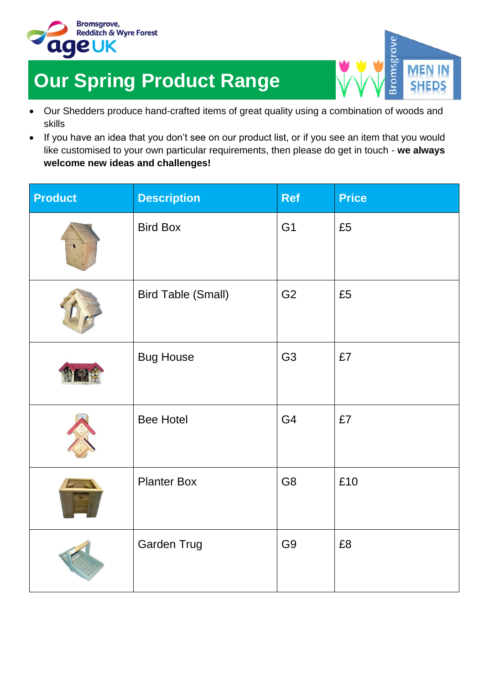

## **Our Spring Product Range**

 Our Shedders produce hand-crafted items of great quality using a combination of woods and skills

msgrov

• If you have an idea that you don't see on our product list, or if you see an item that you would like customised to your own particular requirements, then please do get in touch - **we always welcome new ideas and challenges!**

| <b>Product</b> | <b>Description</b>        | <b>Ref</b>     | <b>Price</b> |
|----------------|---------------------------|----------------|--------------|
|                | <b>Bird Box</b>           | G <sub>1</sub> | £5           |
|                | <b>Bird Table (Small)</b> | G <sub>2</sub> | £5           |
|                | <b>Bug House</b>          | G <sub>3</sub> | £7           |
|                | <b>Bee Hotel</b>          | G4             | £7           |
|                | <b>Planter Box</b>        | G8             | £10          |
|                | <b>Garden Trug</b>        | G <sub>9</sub> | £8           |